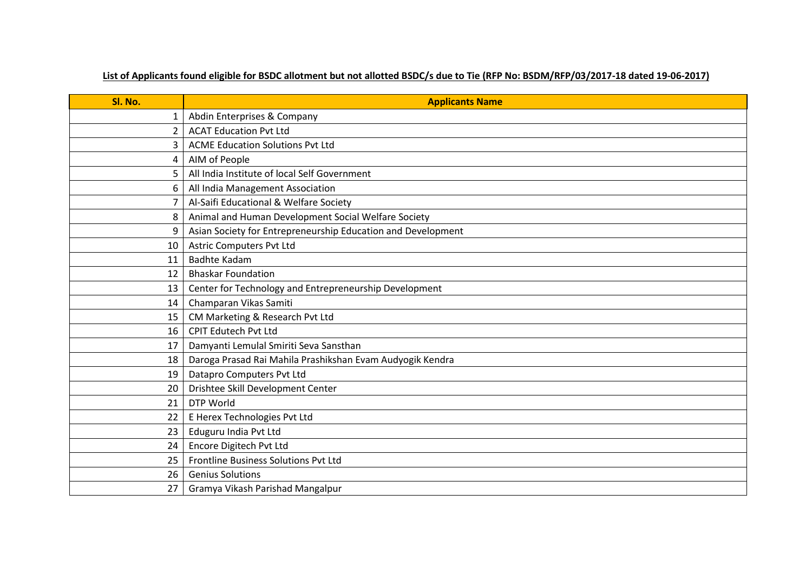## **List of Applicants found eligible for BSDC allotment but not allotted BSDC/s due to Tie (RFP No: BSDM/RFP/03/2017-18 dated 19-06-2017)**

| Sl. No.        | <b>Applicants Name</b>                                       |
|----------------|--------------------------------------------------------------|
| 1              | Abdin Enterprises & Company                                  |
| 2              | <b>ACAT Education Pvt Ltd</b>                                |
| 3              | <b>ACME Education Solutions Pvt Ltd</b>                      |
| 4              | AIM of People                                                |
| 5              | All India Institute of local Self Government                 |
| 6              | All India Management Association                             |
| $\overline{7}$ | Al-Saifi Educational & Welfare Society                       |
| 8              | Animal and Human Development Social Welfare Society          |
| 9              | Asian Society for Entrepreneurship Education and Development |
| 10             | <b>Astric Computers Pvt Ltd</b>                              |
| 11             | <b>Badhte Kadam</b>                                          |
| 12             | <b>Bhaskar Foundation</b>                                    |
| 13             | Center for Technology and Entrepreneurship Development       |
| 14             | Champaran Vikas Samiti                                       |
| 15             | CM Marketing & Research Pvt Ltd                              |
| 16             | <b>CPIT Edutech Pvt Ltd</b>                                  |
| 17             | Damyanti Lemulal Smiriti Seva Sansthan                       |
| 18             | Daroga Prasad Rai Mahila Prashikshan Evam Audyogik Kendra    |
| 19             | Datapro Computers Pvt Ltd                                    |
| 20             | Drishtee Skill Development Center                            |
| 21             | DTP World                                                    |
| 22             | E Herex Technologies Pvt Ltd                                 |
| 23             | Eduguru India Pvt Ltd                                        |
| 24             | Encore Digitech Pvt Ltd                                      |
| 25             | Frontline Business Solutions Pvt Ltd                         |
| 26             | <b>Genius Solutions</b>                                      |
| 27             | Gramya Vikash Parishad Mangalpur                             |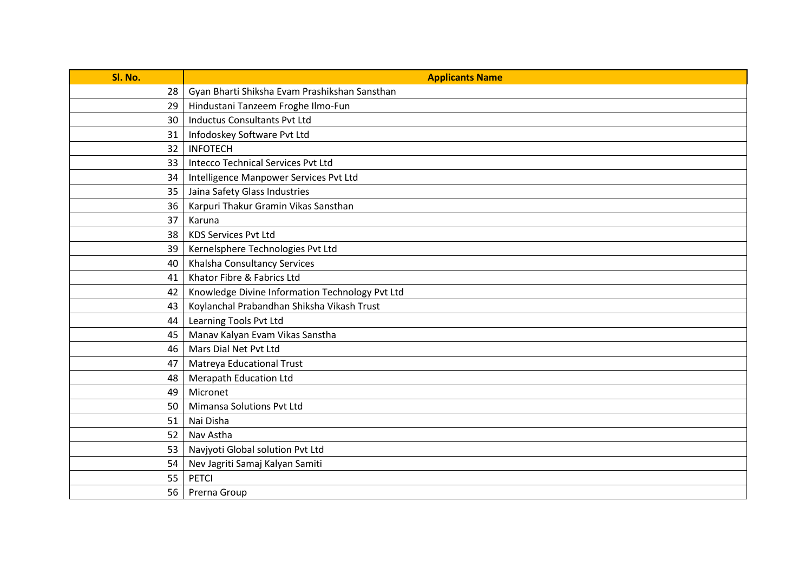| Sl. No. | <b>Applicants Name</b>                          |
|---------|-------------------------------------------------|
| 28      | Gyan Bharti Shiksha Evam Prashikshan Sansthan   |
| 29      | Hindustani Tanzeem Froghe Ilmo-Fun              |
| 30      | <b>Inductus Consultants Pvt Ltd</b>             |
| 31      | Infodoskey Software Pvt Ltd                     |
| 32      | <b>INFOTECH</b>                                 |
| 33      | Intecco Technical Services Pvt Ltd              |
| 34      | Intelligence Manpower Services Pvt Ltd          |
| 35      | Jaina Safety Glass Industries                   |
| 36      | Karpuri Thakur Gramin Vikas Sansthan            |
| 37      | Karuna                                          |
| 38      | <b>KDS Services Pvt Ltd</b>                     |
| 39      | Kernelsphere Technologies Pvt Ltd               |
| 40      | Khalsha Consultancy Services                    |
| 41      | Khator Fibre & Fabrics Ltd                      |
| 42      | Knowledge Divine Information Technology Pvt Ltd |
| 43      | Koylanchal Prabandhan Shiksha Vikash Trust      |
| 44      | Learning Tools Pvt Ltd                          |
| 45      | Manav Kalyan Evam Vikas Sanstha                 |
| 46      | Mars Dial Net Pvt Ltd                           |
| 47      | <b>Matreya Educational Trust</b>                |
| 48      | Merapath Education Ltd                          |
| 49      | Micronet                                        |
| 50      | Mimansa Solutions Pvt Ltd                       |
| 51      | Nai Disha                                       |
| 52      | Nav Astha                                       |
| 53      | Navjyoti Global solution Pvt Ltd                |
| 54      | Nev Jagriti Samaj Kalyan Samiti                 |
| 55      | PETCI                                           |
| 56      | Prerna Group                                    |